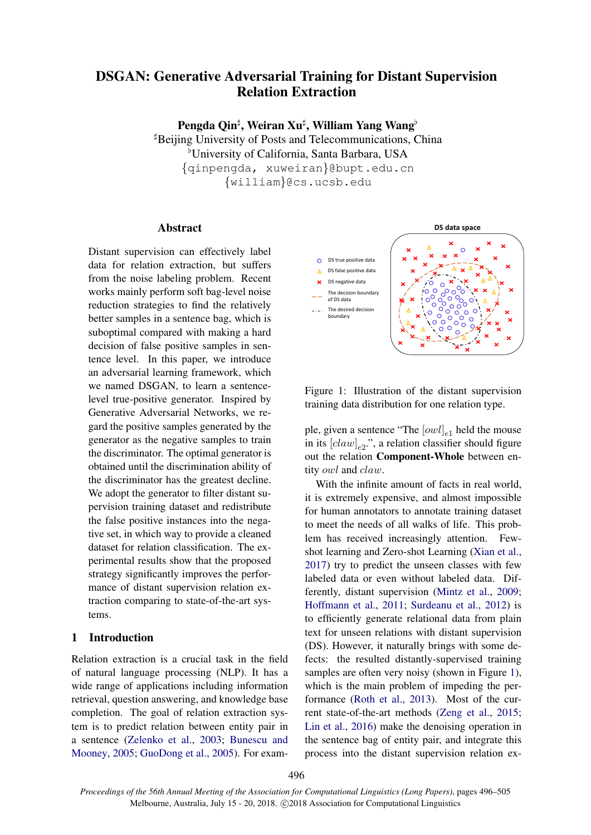# DSGAN: Generative Adversarial Training for Distant Supervision Relation Extraction

Pengda Qin<sup>‡</sup>, Weiran Xu‡, William Yang Wang<sup>b</sup>

 $\mu$ Beijing University of Posts and Telecommunications, China <sup>b</sup>University of California, Santa Barbara, USA {qinpengda, xuweiran}@bupt.edu.cn {william}@cs.ucsb.edu

### Abstract

Distant supervision can effectively label data for relation extraction, but suffers from the noise labeling problem. Recent works mainly perform soft bag-level noise reduction strategies to find the relatively better samples in a sentence bag, which is suboptimal compared with making a hard decision of false positive samples in sentence level. In this paper, we introduce an adversarial learning framework, which we named DSGAN, to learn a sentencelevel true-positive generator. Inspired by Generative Adversarial Networks, we regard the positive samples generated by the generator as the negative samples to train the discriminator. The optimal generator is obtained until the discrimination ability of the discriminator has the greatest decline. We adopt the generator to filter distant supervision training dataset and redistribute the false positive instances into the negative set, in which way to provide a cleaned dataset for relation classification. The experimental results show that the proposed strategy significantly improves the performance of distant supervision relation extraction comparing to state-of-the-art systems.

### <span id="page-0-1"></span>1 Introduction

Relation extraction is a crucial task in the field of natural language processing (NLP). It has a wide range of applications including information retrieval, question answering, and knowledge base completion. The goal of relation extraction system is to predict relation between entity pair in a sentence [\(Zelenko et al.,](#page-9-0) [2003;](#page-9-0) [Bunescu and](#page-8-0) [Mooney,](#page-8-0) [2005;](#page-8-0) [GuoDong et al.,](#page-8-1) [2005\)](#page-8-1). For exam-



<span id="page-0-0"></span>Figure 1: Illustration of the distant supervision training data distribution for one relation type.

ple, given a sentence "The  $[owl]_{e1}$  held the mouse in its  $[claw]_{e2}$ ", a relation classifier should figure out the relation Component-Whole between entity owl and claw.

With the infinite amount of facts in real world, it is extremely expensive, and almost impossible for human annotators to annotate training dataset to meet the needs of all walks of life. This problem has received increasingly attention. Fewshot learning and Zero-shot Learning [\(Xian et al.,](#page-9-1) [2017\)](#page-9-1) try to predict the unseen classes with few labeled data or even without labeled data. Differently, distant supervision [\(Mintz et al.,](#page-8-2) [2009;](#page-8-2) [Hoffmann et al.,](#page-8-3) [2011;](#page-8-3) [Surdeanu et al.,](#page-9-2) [2012\)](#page-9-2) is to efficiently generate relational data from plain text for unseen relations with distant supervision (DS). However, it naturally brings with some defects: the resulted distantly-supervised training samples are often very noisy (shown in Figure [1\)](#page-0-0), which is the main problem of impeding the performance [\(Roth et al.,](#page-9-3) [2013\)](#page-9-3). Most of the current state-of-the-art methods [\(Zeng et al.,](#page-9-4) [2015;](#page-9-4) [Lin et al.,](#page-8-4) [2016\)](#page-8-4) make the denoising operation in the sentence bag of entity pair, and integrate this process into the distant supervision relation ex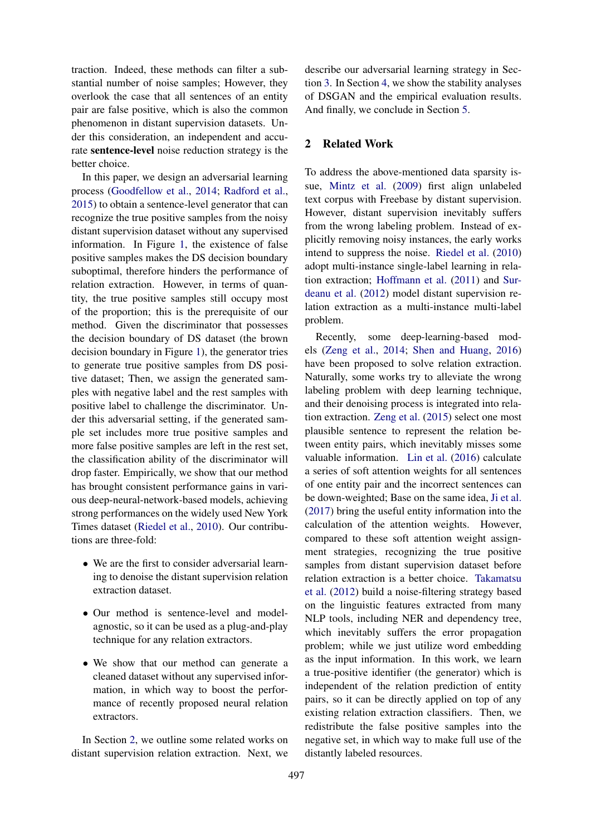traction. Indeed, these methods can filter a substantial number of noise samples; However, they overlook the case that all sentences of an entity pair are false positive, which is also the common phenomenon in distant supervision datasets. Under this consideration, an independent and accurate sentence-level noise reduction strategy is the better choice.

In this paper, we design an adversarial learning process [\(Goodfellow et al.,](#page-8-5) [2014;](#page-8-5) [Radford et al.,](#page-9-5) [2015\)](#page-9-5) to obtain a sentence-level generator that can recognize the true positive samples from the noisy distant supervision dataset without any supervised information. In Figure [1,](#page-0-0) the existence of false positive samples makes the DS decision boundary suboptimal, therefore hinders the performance of relation extraction. However, in terms of quantity, the true positive samples still occupy most of the proportion; this is the prerequisite of our method. Given the discriminator that possesses the decision boundary of DS dataset (the brown decision boundary in Figure [1\)](#page-0-0), the generator tries to generate true positive samples from DS positive dataset; Then, we assign the generated samples with negative label and the rest samples with positive label to challenge the discriminator. Under this adversarial setting, if the generated sample set includes more true positive samples and more false positive samples are left in the rest set, the classification ability of the discriminator will drop faster. Empirically, we show that our method has brought consistent performance gains in various deep-neural-network-based models, achieving strong performances on the widely used New York Times dataset [\(Riedel et al.,](#page-9-6) [2010\)](#page-9-6). Our contributions are three-fold:

- We are the first to consider adversarial learning to denoise the distant supervision relation extraction dataset.
- Our method is sentence-level and modelagnostic, so it can be used as a plug-and-play technique for any relation extractors.
- We show that our method can generate a cleaned dataset without any supervised information, in which way to boost the performance of recently proposed neural relation extractors.

In Section [2,](#page-1-0) we outline some related works on distant supervision relation extraction. Next, we

describe our adversarial learning strategy in Section [3.](#page-2-0) In Section [4,](#page-5-0) we show the stability analyses of DSGAN and the empirical evaluation results. And finally, we conclude in Section [5.](#page-8-6)

# <span id="page-1-0"></span>2 Related Work

To address the above-mentioned data sparsity issue, [Mintz et al.](#page-8-2) [\(2009\)](#page-8-2) first align unlabeled text corpus with Freebase by distant supervision. However, distant supervision inevitably suffers from the wrong labeling problem. Instead of explicitly removing noisy instances, the early works intend to suppress the noise. [Riedel et al.](#page-9-6) [\(2010\)](#page-9-6) adopt multi-instance single-label learning in relation extraction; [Hoffmann et al.](#page-8-3) [\(2011\)](#page-8-3) and [Sur](#page-9-2)[deanu et al.](#page-9-2) [\(2012\)](#page-9-2) model distant supervision relation extraction as a multi-instance multi-label problem.

Recently, some deep-learning-based models [\(Zeng et al.,](#page-9-7) [2014;](#page-9-7) [Shen and Huang,](#page-9-8) [2016\)](#page-9-8) have been proposed to solve relation extraction. Naturally, some works try to alleviate the wrong labeling problem with deep learning technique, and their denoising process is integrated into relation extraction. [Zeng et al.](#page-9-4) [\(2015\)](#page-9-4) select one most plausible sentence to represent the relation between entity pairs, which inevitably misses some valuable information. [Lin et al.](#page-8-4) [\(2016\)](#page-8-4) calculate a series of soft attention weights for all sentences of one entity pair and the incorrect sentences can be down-weighted; Base on the same idea, [Ji et al.](#page-8-7) [\(2017\)](#page-8-7) bring the useful entity information into the calculation of the attention weights. However, compared to these soft attention weight assignment strategies, recognizing the true positive samples from distant supervision dataset before relation extraction is a better choice. [Takamatsu](#page-9-9) [et al.](#page-9-9) [\(2012\)](#page-9-9) build a noise-filtering strategy based on the linguistic features extracted from many NLP tools, including NER and dependency tree, which inevitably suffers the error propagation problem; while we just utilize word embedding as the input information. In this work, we learn a true-positive identifier (the generator) which is independent of the relation prediction of entity pairs, so it can be directly applied on top of any existing relation extraction classifiers. Then, we redistribute the false positive samples into the negative set, in which way to make full use of the distantly labeled resources.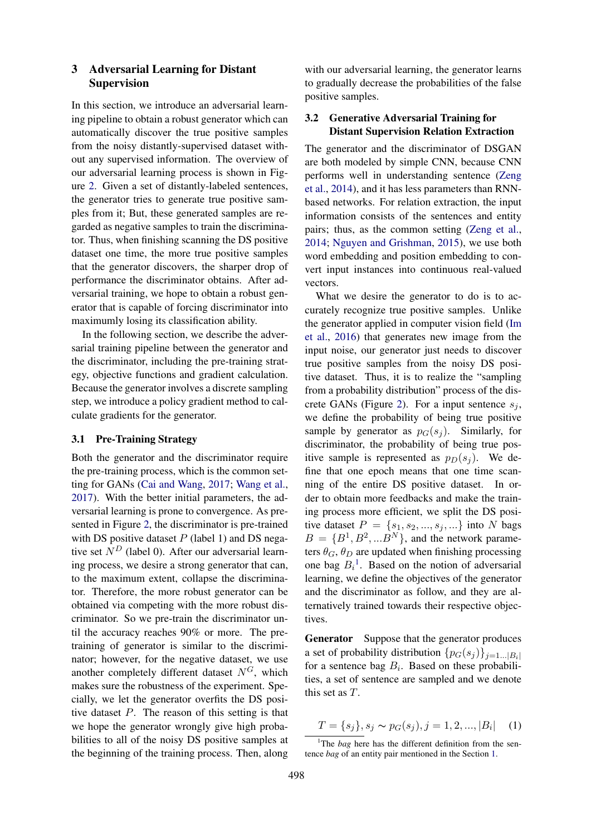# <span id="page-2-0"></span>3 Adversarial Learning for Distant Supervision

In this section, we introduce an adversarial learning pipeline to obtain a robust generator which can automatically discover the true positive samples from the noisy distantly-supervised dataset without any supervised information. The overview of our adversarial learning process is shown in Figure [2.](#page-3-0) Given a set of distantly-labeled sentences, the generator tries to generate true positive samples from it; But, these generated samples are regarded as negative samples to train the discriminator. Thus, when finishing scanning the DS positive dataset one time, the more true positive samples that the generator discovers, the sharper drop of performance the discriminator obtains. After adversarial training, we hope to obtain a robust generator that is capable of forcing discriminator into maximumly losing its classification ability.

In the following section, we describe the adversarial training pipeline between the generator and the discriminator, including the pre-training strategy, objective functions and gradient calculation. Because the generator involves a discrete sampling step, we introduce a policy gradient method to calculate gradients for the generator.

### 3.1 Pre-Training Strategy

Both the generator and the discriminator require the pre-training process, which is the common setting for GANs [\(Cai and Wang,](#page-8-8) [2017;](#page-8-8) [Wang et al.,](#page-9-10) [2017\)](#page-9-10). With the better initial parameters, the adversarial learning is prone to convergence. As presented in Figure [2,](#page-3-0) the discriminator is pre-trained with DS positive dataset  $P$  (label 1) and DS negative set  $N<sup>D</sup>$  (label 0). After our adversarial learning process, we desire a strong generator that can, to the maximum extent, collapse the discriminator. Therefore, the more robust generator can be obtained via competing with the more robust discriminator. So we pre-train the discriminator until the accuracy reaches 90% or more. The pretraining of generator is similar to the discriminator; however, for the negative dataset, we use another completely different dataset  $N^G$ , which makes sure the robustness of the experiment. Specially, we let the generator overfits the DS positive dataset P. The reason of this setting is that we hope the generator wrongly give high probabilities to all of the noisy DS positive samples at the beginning of the training process. Then, along

with our adversarial learning, the generator learns to gradually decrease the probabilities of the false positive samples.

# 3.2 Generative Adversarial Training for Distant Supervision Relation Extraction

The generator and the discriminator of DSGAN are both modeled by simple CNN, because CNN performs well in understanding sentence [\(Zeng](#page-9-7) [et al.,](#page-9-7) [2014\)](#page-9-7), and it has less parameters than RNNbased networks. For relation extraction, the input information consists of the sentences and entity pairs; thus, as the common setting [\(Zeng et al.,](#page-9-7) [2014;](#page-9-7) [Nguyen and Grishman,](#page-9-11) [2015\)](#page-9-11), we use both word embedding and position embedding to convert input instances into continuous real-valued vectors.

What we desire the generator to do is to accurately recognize true positive samples. Unlike the generator applied in computer vision field [\(Im](#page-8-9) [et al.,](#page-8-9) [2016\)](#page-8-9) that generates new image from the input noise, our generator just needs to discover true positive samples from the noisy DS positive dataset. Thus, it is to realize the "sampling from a probability distribution" process of the dis-crete GANs (Figure [2\)](#page-3-0). For a input sentence  $s_j$ , we define the probability of being true positive sample by generator as  $p_G(s_i)$ . Similarly, for discriminator, the probability of being true positive sample is represented as  $p_D(s_i)$ . We define that one epoch means that one time scanning of the entire DS positive dataset. In order to obtain more feedbacks and make the training process more efficient, we split the DS positive dataset  $P = \{s_1, s_2, ..., s_j, ...\}$  into N bags  $B = \{B^1, B^2, ... B^N\}$ , and the network parameters  $\theta_G$ ,  $\theta_D$  are updated when finishing processing one bag  $B_i^1$  $B_i^1$ . Based on the notion of adversarial learning, we define the objectives of the generator and the discriminator as follow, and they are alternatively trained towards their respective objectives.

Generator Suppose that the generator produces a set of probability distribution  $\{p_G(s_i)\}_{i=1...|B_i|}$ for a sentence bag  $B_i$ . Based on these probabilities, a set of sentence are sampled and we denote this set as T.

$$
T = \{s_j\}, s_j \sim p_G(s_j), j = 1, 2, ..., |B_i| \quad (1)
$$

<span id="page-2-1"></span><sup>&</sup>lt;sup>1</sup>The *bag* here has the different definition from the sentence *bag* of an entity pair mentioned in the Section [1.](#page-0-1)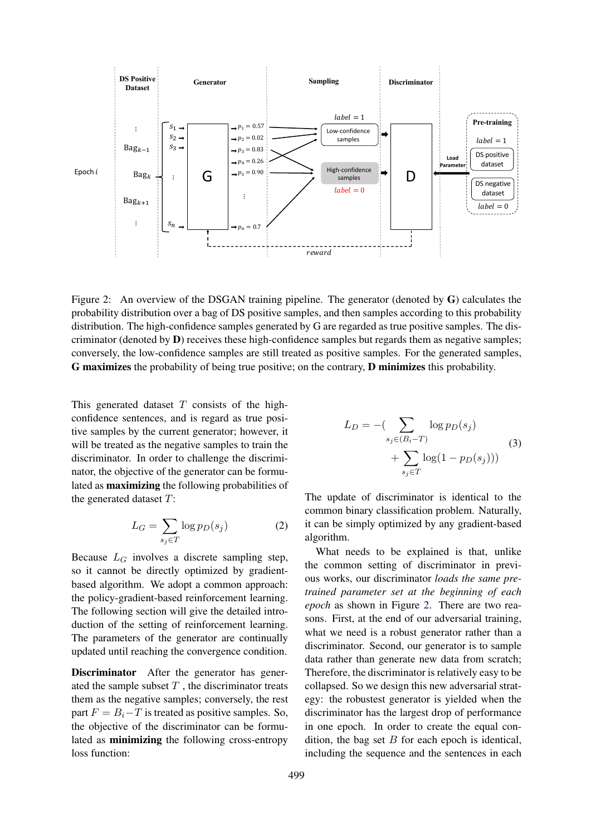

Figure 2: An overview of the DSGAN training pipeline. The generator (denoted by G) calculates the probability distribution over a bag of DS positive samples, and then samples according to this probability distribution. The high-confidence samples generated by G are regarded as true positive samples. The discriminator (denoted by **) receives these high-confidence samples but regards them as negative samples;** conversely, the low-confidence samples are still treated as positive samples. For the generated samples, G maximizes the probability of being true positive; on the contrary, D minimizes this probability.

This generated dataset  $T$  consists of the highconfidence sentences, and is regard as true positive samples by the current generator; however, it will be treated as the negative samples to train the discriminator. In order to challenge the discriminator, the objective of the generator can be formulated as maximizing the following probabilities of the generated dataset  $T$ :

$$
L_G = \sum_{s_j \in T} \log p_D(s_j) \tag{2}
$$

Because  $L_G$  involves a discrete sampling step, so it cannot be directly optimized by gradientbased algorithm. We adopt a common approach: the policy-gradient-based reinforcement learning. The following section will give the detailed introduction of the setting of reinforcement learning. The parameters of the generator are continually updated until reaching the convergence condition.

Discriminator After the generator has generated the sample subset  $T$ , the discriminator treats them as the negative samples; conversely, the rest part  $F = B_i - T$  is treated as positive samples. So, the objective of the discriminator can be formulated as minimizing the following cross-entropy loss function:

<span id="page-3-0"></span>
$$
L_D = -\left(\sum_{s_j \in (B_i - T)} \log p_D(s_j) + \sum_{s_j \in T} \log(1 - p_D(s_j))\right)
$$
\n(3)

The update of discriminator is identical to the common binary classification problem. Naturally, it can be simply optimized by any gradient-based algorithm.

What needs to be explained is that, unlike the common setting of discriminator in previous works, our discriminator *loads the same pretrained parameter set at the beginning of each epoch* as shown in Figure [2.](#page-3-0) There are two reasons. First, at the end of our adversarial training, what we need is a robust generator rather than a discriminator. Second, our generator is to sample data rather than generate new data from scratch; Therefore, the discriminator is relatively easy to be collapsed. So we design this new adversarial strategy: the robustest generator is yielded when the discriminator has the largest drop of performance in one epoch. In order to create the equal condition, the bag set  $B$  for each epoch is identical, including the sequence and the sentences in each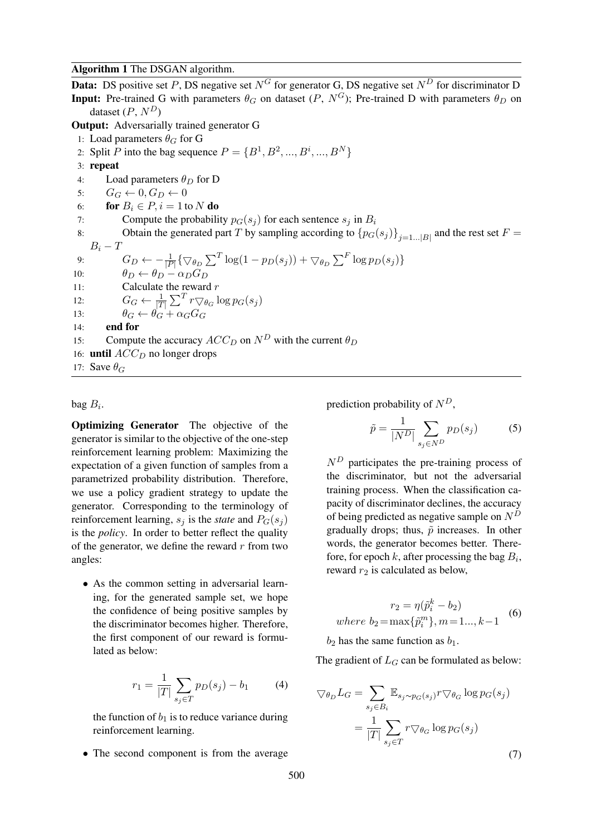#### Algorithm 1 The DSGAN algorithm.

**Data:** DS positive set P, DS negative set  $N^G$  for generator G, DS negative set  $N^D$  for discriminator D **Input:** Pre-trained G with parameters  $\theta_G$  on dataset  $(P, N^G)$ ; Pre-trained D with parameters  $\theta_D$  on dataset  $(P, N^D)$ Output: Adversarially trained generator G 1: Load parameters  $\theta_G$  for G 2: Split *P* into the bag sequence  $P = \{B^1, B^2, ..., B^i, ..., B^N\}$ 3: repeat 4: Load parameters  $\theta_D$  for D 5:  $G_G \leftarrow 0, G_D \leftarrow 0$ 6: **for**  $B_i \in P$ ,  $i = 1$  to N **do** 7: Compute the probability  $p_G(s_i)$  for each sentence  $s_i$  in  $B_i$ 8: Obtain the generated part T by sampling according to  ${p_G(s_j)}_{j=1...|B|}$  and the rest set  $F =$  $B_i-T$ 9:  $G_D \leftarrow -\frac{1}{|P|} \{ \nabla_{\theta_D} \sum^T \log(1 - p_D(s_j)) + \nabla_{\theta_D} \sum^F \log p_D(s_j) \}$ 10:  $\theta_D \leftarrow \theta_D - \alpha_D G_D$ 11: Calculate the reward  $r$ 12:  $G_G \leftarrow \frac{1}{|T|} \sum^T r \nabla_{\theta_G} \log p_G(s_j)$ 13:  $\theta_G \leftarrow \theta_G + \alpha_G G_G$  $14:$  end for 15: Compute the accuracy  $ACC_D$  on  $N^D$  with the current  $\theta_D$ 16: **until**  $ACC_D$  no longer drops 17: Save  $\theta_G$ 

### bag  $B_i$ .

Optimizing Generator The objective of the generator is similar to the objective of the one-step reinforcement learning problem: Maximizing the expectation of a given function of samples from a parametrized probability distribution. Therefore, we use a policy gradient strategy to update the generator. Corresponding to the terminology of reinforcement learning,  $s_i$  is the *state* and  $P_G(s_i)$ is the *policy*. In order to better reflect the quality of the generator, we define the reward  $r$  from two angles:

• As the common setting in adversarial learning, for the generated sample set, we hope the confidence of being positive samples by the discriminator becomes higher. Therefore, the first component of our reward is formulated as below:

$$
r_1 = \frac{1}{|T|} \sum_{s_j \in T} p_D(s_j) - b_1 \tag{4}
$$

the function of  $b_1$  is to reduce variance during reinforcement learning.

• The second component is from the average

prediction probability of  $N^D$ ,

$$
\tilde{p} = \frac{1}{|N^D|} \sum_{s_j \in N^D} p_D(s_j) \tag{5}
$$

 $N<sup>D</sup>$  participates the pre-training process of the discriminator, but not the adversarial training process. When the classification capacity of discriminator declines, the accuracy of being predicted as negative sample on  $N<sup>D</sup>$ gradually drops; thus,  $\tilde{p}$  increases. In other words, the generator becomes better. Therefore, for epoch  $k$ , after processing the bag  $B_i$ , reward  $r_2$  is calculated as below,

$$
r_2 = \eta(\tilde{p}_i^k - b_2)
$$
  
where  $b_2 = \max{\{\tilde{p}_i^m\}}, m = 1..., k-1$  (6)

 $b_2$  has the same function as  $b_1$ .

The gradient of  $L_G$  can be formulated as below:

$$
\nabla_{\theta_D} L_G = \sum_{s_j \in B_i} \mathbb{E}_{s_j \sim p_G(s_j)} r \nabla_{\theta_G} \log p_G(s_j)
$$

$$
= \frac{1}{|T|} \sum_{s_j \in T} r \nabla_{\theta_G} \log p_G(s_j)
$$
(7)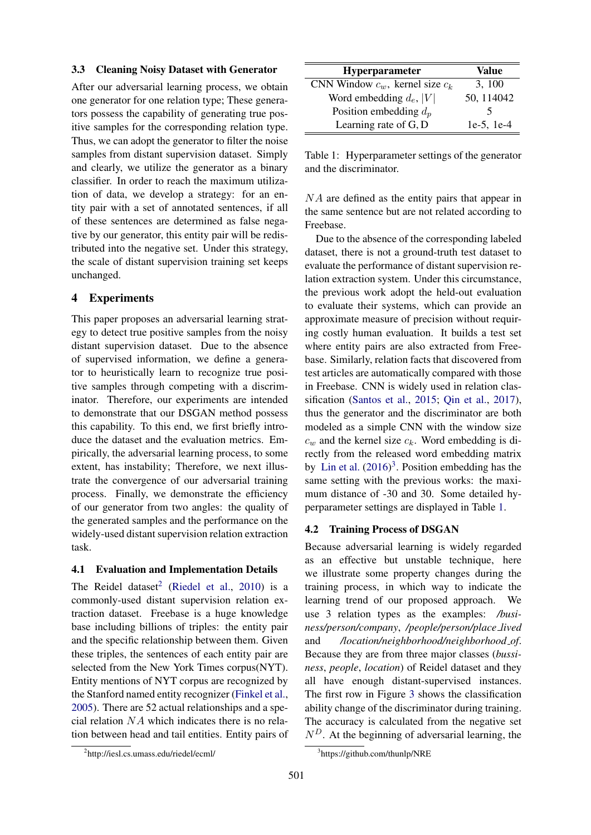#### <span id="page-5-4"></span>3.3 Cleaning Noisy Dataset with Generator

After our adversarial learning process, we obtain one generator for one relation type; These generators possess the capability of generating true positive samples for the corresponding relation type. Thus, we can adopt the generator to filter the noise samples from distant supervision dataset. Simply and clearly, we utilize the generator as a binary classifier. In order to reach the maximum utilization of data, we develop a strategy: for an entity pair with a set of annotated sentences, if all of these sentences are determined as false negative by our generator, this entity pair will be redistributed into the negative set. Under this strategy, the scale of distant supervision training set keeps unchanged.

# <span id="page-5-0"></span>4 Experiments

This paper proposes an adversarial learning strategy to detect true positive samples from the noisy distant supervision dataset. Due to the absence of supervised information, we define a generator to heuristically learn to recognize true positive samples through competing with a discriminator. Therefore, our experiments are intended to demonstrate that our DSGAN method possess this capability. To this end, we first briefly introduce the dataset and the evaluation metrics. Empirically, the adversarial learning process, to some extent, has instability; Therefore, we next illustrate the convergence of our adversarial training process. Finally, we demonstrate the efficiency of our generator from two angles: the quality of the generated samples and the performance on the widely-used distant supervision relation extraction task.

#### 4.1 Evaluation and Implementation Details

The Reidel dataset<sup>[2](#page-5-1)</sup> [\(Riedel et al.,](#page-9-6) [2010\)](#page-9-6) is a commonly-used distant supervision relation extraction dataset. Freebase is a huge knowledge base including billions of triples: the entity pair and the specific relationship between them. Given these triples, the sentences of each entity pair are selected from the New York Times corpus(NYT). Entity mentions of NYT corpus are recognized by the Stanford named entity recognizer [\(Finkel et al.,](#page-8-10) [2005\)](#page-8-10). There are 52 actual relationships and a special relation  $NA$  which indicates there is no relation between head and tail entities. Entity pairs of

| Hyperparameter                       | Value           |
|--------------------------------------|-----------------|
| CNN Window $c_w$ , kernel size $c_k$ | 3, 100          |
| Word embedding $d_e$ ,  V            | 50, 114042      |
| Position embedding $d_p$             | ↖               |
| Learning rate of G, D                | $1e-5$ , $1e-4$ |

<span id="page-5-3"></span>Table 1: Hyperparameter settings of the generator and the discriminator.

NA are defined as the entity pairs that appear in the same sentence but are not related according to Freebase.

Due to the absence of the corresponding labeled dataset, there is not a ground-truth test dataset to evaluate the performance of distant supervision relation extraction system. Under this circumstance, the previous work adopt the held-out evaluation to evaluate their systems, which can provide an approximate measure of precision without requiring costly human evaluation. It builds a test set where entity pairs are also extracted from Freebase. Similarly, relation facts that discovered from test articles are automatically compared with those in Freebase. CNN is widely used in relation classification [\(Santos et al.,](#page-9-12) [2015;](#page-9-12) [Qin et al.,](#page-9-13) [2017\)](#page-9-13), thus the generator and the discriminator are both modeled as a simple CNN with the window size  $c_w$  and the kernel size  $c_k$ . Word embedding is directly from the released word embedding matrix by [Lin et al.](#page-8-4)  $(2016)^3$  $(2016)^3$  $(2016)^3$ . Position embedding has the same setting with the previous works: the maximum distance of -30 and 30. Some detailed hyperparameter settings are displayed in Table [1.](#page-5-3)

#### 4.2 Training Process of DSGAN

Because adversarial learning is widely regarded as an effective but unstable technique, here we illustrate some property changes during the training process, in which way to indicate the learning trend of our proposed approach. We use 3 relation types as the examples: */business/person/company*, */people/person/place lived* and */location/neighborhood/neighborhood of*. Because they are from three major classes (*bussiness*, *people*, *location*) of Reidel dataset and they all have enough distant-supervised instances. The first row in Figure [3](#page-6-0) shows the classification ability change of the discriminator during training. The accuracy is calculated from the negative set  $N<sup>D</sup>$ . At the beginning of adversarial learning, the

<span id="page-5-1"></span><sup>2</sup> http://iesl.cs.umass.edu/riedel/ecml/

<span id="page-5-2"></span><sup>3</sup> https://github.com/thunlp/NRE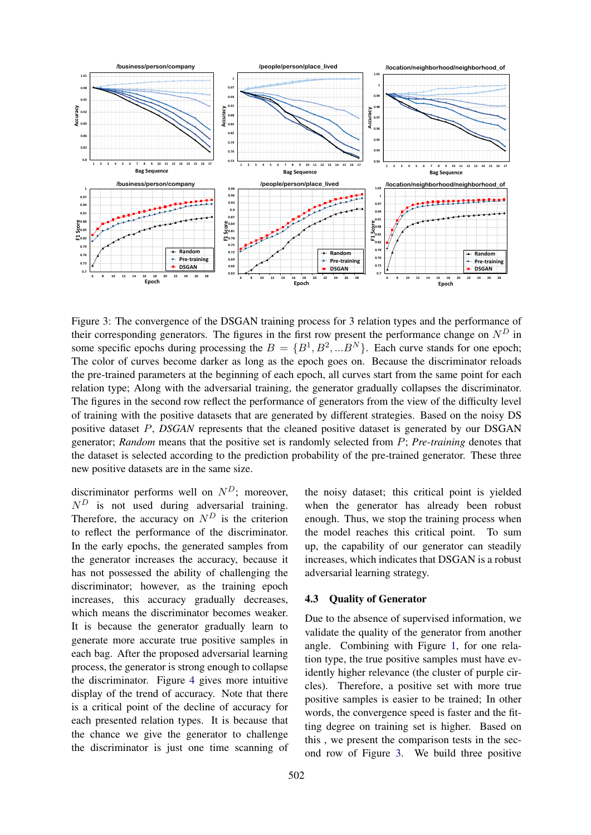

Figure 3: The convergence of the DSGAN training process for 3 relation types and the performance of their corresponding generators. The figures in the first row present the performance change on  $N<sup>D</sup>$  in some specific epochs during processing the  $B = \{B^1, B^2, ...B^N\}$ . Each curve stands for one epoch; The color of curves become darker as long as the epoch goes on. Because the discriminator reloads the pre-trained parameters at the beginning of each epoch, all curves start from the same point for each relation type; Along with the adversarial training, the generator gradually collapses the discriminator. The figures in the second row reflect the performance of generators from the view of the difficulty level of training with the positive datasets that are generated by different strategies. Based on the noisy DS positive dataset P, *DSGAN* represents that the cleaned positive dataset is generated by our DSGAN generator; *Random* means that the positive set is randomly selected from P; *Pre-training* denotes that the dataset is selected according to the prediction probability of the pre-trained generator. These three new positive datasets are in the same size.

discriminator performs well on  $N<sup>D</sup>$ ; moreover,  $N<sup>D</sup>$  is not used during adversarial training. Therefore, the accuracy on  $N<sup>D</sup>$  is the criterion to reflect the performance of the discriminator. In the early epochs, the generated samples from the generator increases the accuracy, because it has not possessed the ability of challenging the discriminator; however, as the training epoch increases, this accuracy gradually decreases, which means the discriminator becomes weaker. It is because the generator gradually learn to generate more accurate true positive samples in each bag. After the proposed adversarial learning process, the generator is strong enough to collapse the discriminator. Figure [4](#page-7-0) gives more intuitive display of the trend of accuracy. Note that there is a critical point of the decline of accuracy for each presented relation types. It is because that the chance we give the generator to challenge the discriminator is just one time scanning of

<span id="page-6-0"></span>the noisy dataset; this critical point is yielded when the generator has already been robust enough. Thus, we stop the training process when the model reaches this critical point. To sum up, the capability of our generator can steadily increases, which indicates that DSGAN is a robust adversarial learning strategy.

#### 4.3 Quality of Generator

Due to the absence of supervised information, we validate the quality of the generator from another angle. Combining with Figure [1,](#page-0-0) for one relation type, the true positive samples must have evidently higher relevance (the cluster of purple circles). Therefore, a positive set with more true positive samples is easier to be trained; In other words, the convergence speed is faster and the fitting degree on training set is higher. Based on this , we present the comparison tests in the second row of Figure [3.](#page-6-0) We build three positive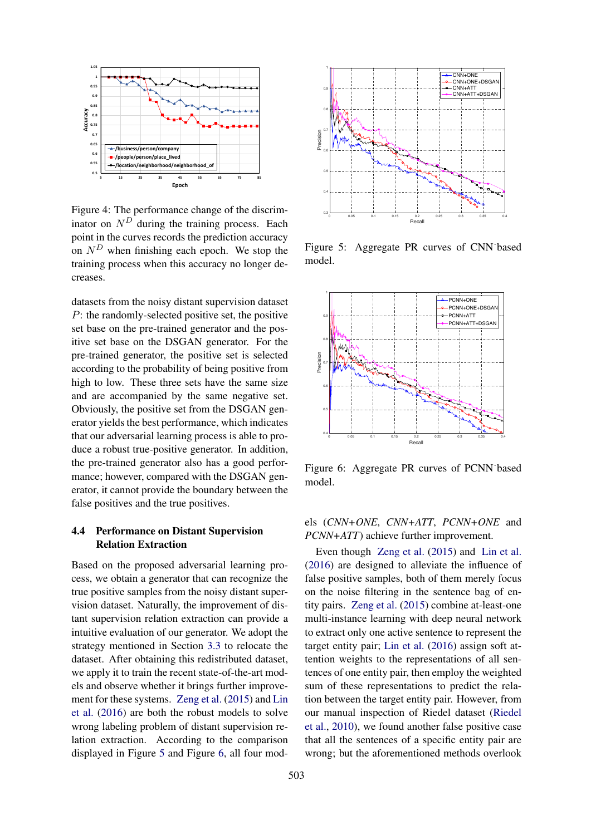

Figure 4: The performance change of the discriminator on  $N<sup>D</sup>$  during the training process. Each point in the curves records the prediction accuracy on  $N<sup>D</sup>$  when finishing each epoch. We stop the training process when this accuracy no longer decreases.

datasets from the noisy distant supervision dataset P: the randomly-selected positive set, the positive set base on the pre-trained generator and the positive set base on the DSGAN generator. For the pre-trained generator, the positive set is selected according to the probability of being positive from high to low. These three sets have the same size and are accompanied by the same negative set. Obviously, the positive set from the DSGAN generator yields the best performance, which indicates that our adversarial learning process is able to produce a robust true-positive generator. In addition, the pre-trained generator also has a good performance; however, compared with the DSGAN generator, it cannot provide the boundary between the false positives and the true positives.

### 4.4 Performance on Distant Supervision Relation Extraction

Based on the proposed adversarial learning process, we obtain a generator that can recognize the true positive samples from the noisy distant supervision dataset. Naturally, the improvement of distant supervision relation extraction can provide a intuitive evaluation of our generator. We adopt the strategy mentioned in Section [3.3](#page-5-4) to relocate the dataset. After obtaining this redistributed dataset, we apply it to train the recent state-of-the-art models and observe whether it brings further improvement for these systems. [Zeng et al.](#page-9-4) [\(2015\)](#page-9-4) and [Lin](#page-8-4) [et al.](#page-8-4) [\(2016\)](#page-8-4) are both the robust models to solve wrong labeling problem of distant supervision relation extraction. According to the comparison displayed in Figure [5](#page-7-1) and Figure [6,](#page-7-2) all four mod-



<span id="page-7-1"></span><span id="page-7-0"></span>Figure 5: Aggregate PR curves of CNN˙based model.



<span id="page-7-2"></span>Figure 6: Aggregate PR curves of PCNN˙based model.

# els (*CNN+ONE*, *CNN+ATT*, *PCNN+ONE* and *PCNN+ATT*) achieve further improvement.

Even though [Zeng et al.](#page-9-4) [\(2015\)](#page-9-4) and [Lin et al.](#page-8-4) [\(2016\)](#page-8-4) are designed to alleviate the influence of false positive samples, both of them merely focus on the noise filtering in the sentence bag of entity pairs. [Zeng et al.](#page-9-4) [\(2015\)](#page-9-4) combine at-least-one multi-instance learning with deep neural network to extract only one active sentence to represent the target entity pair; [Lin et al.](#page-8-4) [\(2016\)](#page-8-4) assign soft attention weights to the representations of all sentences of one entity pair, then employ the weighted sum of these representations to predict the relation between the target entity pair. However, from our manual inspection of Riedel dataset [\(Riedel](#page-9-6) [et al.,](#page-9-6) [2010\)](#page-9-6), we found another false positive case that all the sentences of a specific entity pair are wrong; but the aforementioned methods overlook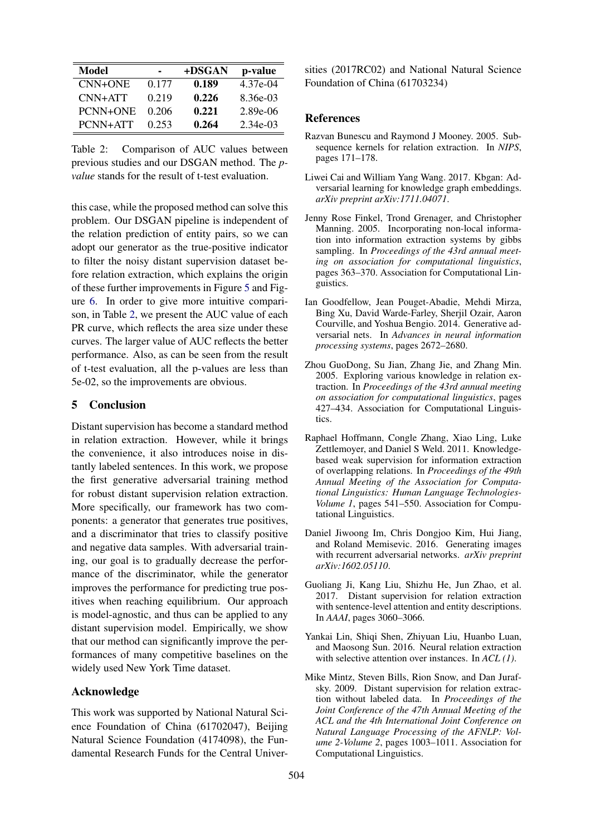| Model           | -     | +DSGAN | p-value    |
|-----------------|-------|--------|------------|
| $CNN+ONE$       | 0.177 | 0.189  | 4.37e-04   |
| $CNN+ATT$       | 0.219 | 0.226  | $8.36e-03$ |
| <b>PCNN+ONE</b> | 0.206 | 0.221  | 2.89e-06   |
| PCNN+ATT        | 0.253 | 0.264  | $2.34e-03$ |

Table 2: Comparison of AUC values between previous studies and our DSGAN method. The *pvalue* stands for the result of t-test evaluation.

this case, while the proposed method can solve this problem. Our DSGAN pipeline is independent of the relation prediction of entity pairs, so we can adopt our generator as the true-positive indicator to filter the noisy distant supervision dataset before relation extraction, which explains the origin of these further improvements in Figure [5](#page-7-1) and Figure [6.](#page-7-2) In order to give more intuitive comparison, in Table [2,](#page-8-11) we present the AUC value of each PR curve, which reflects the area size under these curves. The larger value of AUC reflects the better performance. Also, as can be seen from the result of t-test evaluation, all the p-values are less than 5e-02, so the improvements are obvious.

#### <span id="page-8-6"></span>5 Conclusion

Distant supervision has become a standard method in relation extraction. However, while it brings the convenience, it also introduces noise in distantly labeled sentences. In this work, we propose the first generative adversarial training method for robust distant supervision relation extraction. More specifically, our framework has two components: a generator that generates true positives, and a discriminator that tries to classify positive and negative data samples. With adversarial training, our goal is to gradually decrease the performance of the discriminator, while the generator improves the performance for predicting true positives when reaching equilibrium. Our approach is model-agnostic, and thus can be applied to any distant supervision model. Empirically, we show that our method can significantly improve the performances of many competitive baselines on the widely used New York Time dataset.

### Acknowledge

This work was supported by National Natural Science Foundation of China (61702047), Beijing Natural Science Foundation (4174098), the Fundamental Research Funds for the Central Univer-

<span id="page-8-11"></span>sities (2017RC02) and National Natural Science Foundation of China (61703234)

#### References

- <span id="page-8-0"></span>Razvan Bunescu and Raymond J Mooney. 2005. Subsequence kernels for relation extraction. In *NIPS*, pages 171–178.
- <span id="page-8-8"></span>Liwei Cai and William Yang Wang. 2017. Kbgan: Adversarial learning for knowledge graph embeddings. *arXiv preprint arXiv:1711.04071*.
- <span id="page-8-10"></span>Jenny Rose Finkel, Trond Grenager, and Christopher Manning. 2005. Incorporating non-local information into information extraction systems by gibbs sampling. In *Proceedings of the 43rd annual meeting on association for computational linguistics*, pages 363–370. Association for Computational Linguistics.
- <span id="page-8-5"></span>Ian Goodfellow, Jean Pouget-Abadie, Mehdi Mirza, Bing Xu, David Warde-Farley, Sherjil Ozair, Aaron Courville, and Yoshua Bengio. 2014. Generative adversarial nets. In *Advances in neural information processing systems*, pages 2672–2680.
- <span id="page-8-1"></span>Zhou GuoDong, Su Jian, Zhang Jie, and Zhang Min. 2005. Exploring various knowledge in relation extraction. In *Proceedings of the 43rd annual meeting on association for computational linguistics*, pages 427–434. Association for Computational Linguistics.
- <span id="page-8-3"></span>Raphael Hoffmann, Congle Zhang, Xiao Ling, Luke Zettlemoyer, and Daniel S Weld. 2011. Knowledgebased weak supervision for information extraction of overlapping relations. In *Proceedings of the 49th Annual Meeting of the Association for Computational Linguistics: Human Language Technologies-Volume 1*, pages 541–550. Association for Computational Linguistics.
- <span id="page-8-9"></span>Daniel Jiwoong Im, Chris Dongjoo Kim, Hui Jiang, and Roland Memisevic. 2016. Generating images with recurrent adversarial networks. *arXiv preprint arXiv:1602.05110*.
- <span id="page-8-7"></span>Guoliang Ji, Kang Liu, Shizhu He, Jun Zhao, et al. 2017. Distant supervision for relation extraction with sentence-level attention and entity descriptions. In *AAAI*, pages 3060–3066.
- <span id="page-8-4"></span>Yankai Lin, Shiqi Shen, Zhiyuan Liu, Huanbo Luan, and Maosong Sun. 2016. Neural relation extraction with selective attention over instances. In *ACL (1)*.
- <span id="page-8-2"></span>Mike Mintz, Steven Bills, Rion Snow, and Dan Jurafsky. 2009. Distant supervision for relation extraction without labeled data. In *Proceedings of the Joint Conference of the 47th Annual Meeting of the ACL and the 4th International Joint Conference on Natural Language Processing of the AFNLP: Volume 2-Volume 2*, pages 1003–1011. Association for Computational Linguistics.